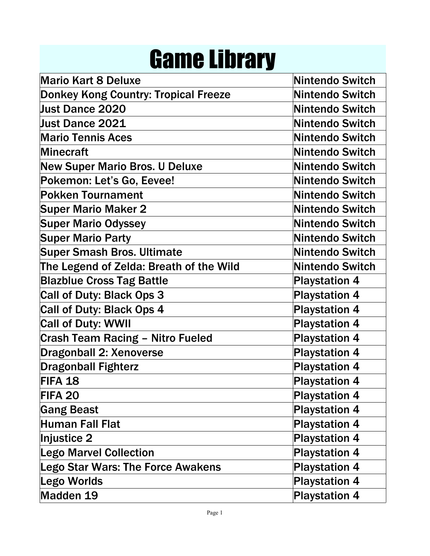## Game Library

| <b>Mario Kart 8 Deluxe</b>                  | <b>Nintendo Switch</b> |
|---------------------------------------------|------------------------|
| <b>Donkey Kong Country: Tropical Freeze</b> | <b>Nintendo Switch</b> |
| Just Dance 2020                             | <b>Nintendo Switch</b> |
| <b>Just Dance 2021</b>                      | Nintendo Switch        |
| <b>Mario Tennis Aces</b>                    | <b>Nintendo Switch</b> |
| <b>Minecraft</b>                            | <b>Nintendo Switch</b> |
| <b>New Super Mario Bros. U Deluxe</b>       | <b>Nintendo Switch</b> |
| Pokemon: Let's Go, Eevee!                   | Nintendo Switch        |
| <b>Pokken Tournament</b>                    | <b>Nintendo Switch</b> |
| <b>Super Mario Maker 2</b>                  | <b>Nintendo Switch</b> |
| <b>Super Mario Odyssey</b>                  | <b>Nintendo Switch</b> |
| <b>Super Mario Party</b>                    | <b>Nintendo Switch</b> |
| <b>Super Smash Bros. Ultimate</b>           | <b>Nintendo Switch</b> |
| The Legend of Zelda: Breath of the Wild     | <b>Nintendo Switch</b> |
| <b>Blazblue Cross Tag Battle</b>            | <b>Playstation 4</b>   |
| Call of Duty: Black Ops 3                   | <b>Playstation 4</b>   |
| Call of Duty: Black Ops 4                   | <b>Playstation 4</b>   |
| <b>Call of Duty: WWII</b>                   | <b>Playstation 4</b>   |
| <b>Crash Team Racing - Nitro Fueled</b>     | <b>Playstation 4</b>   |
| <b>Dragonball 2: Xenoverse</b>              | <b>Playstation 4</b>   |
| <b>Dragonball Fighterz</b>                  | <b>Playstation 4</b>   |
| FIFA 18                                     | <b>Playstation 4</b>   |
| FIFA 20                                     | <b>Playstation 4</b>   |
| <b>Gang Beast</b>                           | <b>Playstation 4</b>   |
| <b>Human Fall Flat</b>                      | <b>Playstation 4</b>   |
| Injustice 2                                 | <b>Playstation 4</b>   |
| <b>Lego Marvel Collection</b>               | <b>Playstation 4</b>   |
| <b>Lego Star Wars: The Force Awakens</b>    | <b>Playstation 4</b>   |
| Lego Worlds                                 | <b>Playstation 4</b>   |
| Madden 19                                   | <b>Playstation 4</b>   |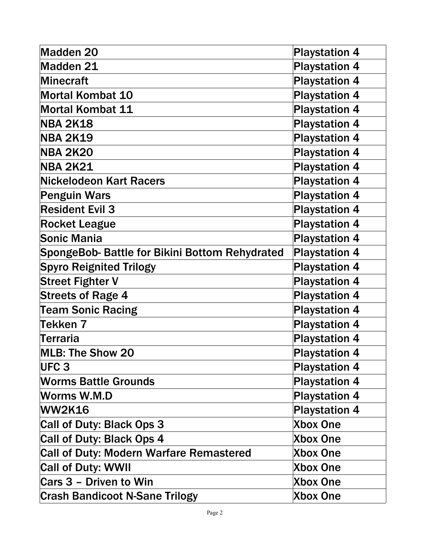| Madden 20                                      | <b>Playstation 4</b> |
|------------------------------------------------|----------------------|
| Madden 21                                      | <b>Playstation 4</b> |
| Minecraft                                      | <b>Playstation 4</b> |
| <b>Mortal Kombat 10</b>                        | <b>Playstation 4</b> |
| <b>Mortal Kombat 11</b>                        | <b>Playstation 4</b> |
| <b>NBA 2K18</b>                                | <b>Playstation 4</b> |
| <b>NBA 2K19</b>                                | <b>Playstation 4</b> |
| <b>NBA 2K20</b>                                | <b>Playstation 4</b> |
| <b>NBA 2K21</b>                                | <b>Playstation 4</b> |
| <b>Nickelodeon Kart Racers</b>                 | <b>Playstation 4</b> |
| <b>Penguin Wars</b>                            | <b>Playstation 4</b> |
| <b>Resident Evil 3</b>                         | <b>Playstation 4</b> |
| <b>Rocket League</b>                           | <b>Playstation 4</b> |
| Sonic Mania                                    | <b>Playstation 4</b> |
| SpongeBob- Battle for Bikini Bottom Rehydrated | <b>Playstation 4</b> |
| <b>Spyro Reignited Trilogy</b>                 | <b>Playstation 4</b> |
| <b>Street Fighter V</b>                        | <b>Playstation 4</b> |
| <b>Streets of Rage 4</b>                       | <b>Playstation 4</b> |
| <b>Team Sonic Racing</b>                       | <b>Playstation 4</b> |
| <b>Tekken 7</b>                                | <b>Playstation 4</b> |
| Terraria                                       | <b>Playstation 4</b> |
| <b>MLB: The Show 20</b>                        | <b>Playstation 4</b> |
| UFC <sub>3</sub>                               | <b>Playstation 4</b> |
| <b>Worms Battle Grounds</b>                    | <b>Playstation 4</b> |
| <b>Worms W.M.D</b>                             | <b>Playstation 4</b> |
| <b>WW2K16</b>                                  | <b>Playstation 4</b> |
| Call of Duty: Black Ops 3                      | <b>Xbox One</b>      |
| <b>Call of Duty: Black Ops 4</b>               | <b>Xbox One</b>      |
| <b>Call of Duty: Modern Warfare Remastered</b> | <b>Xbox One</b>      |
| <b>Call of Duty: WWII</b>                      | <b>Xbox One</b>      |
| Cars 3 - Driven to Win                         | <b>Xbox One</b>      |
| <b>Crash Bandicoot N-Sane Trilogy</b>          | <b>Xbox One</b>      |